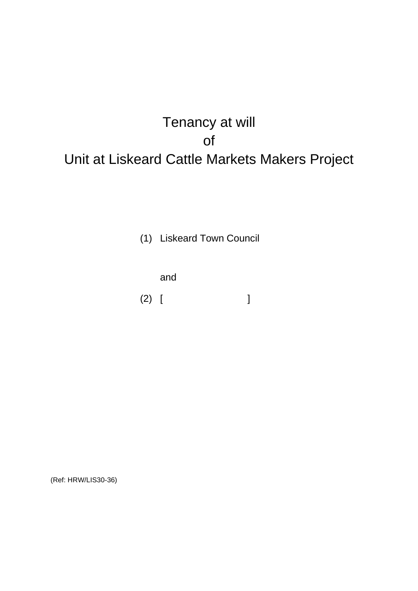# Tenancy at will of Unit at Liskeard Cattle Markets Makers Project

(1) Liskeard Town Council

and

(2) [ ]

(Ref: HRW/LIS30-36)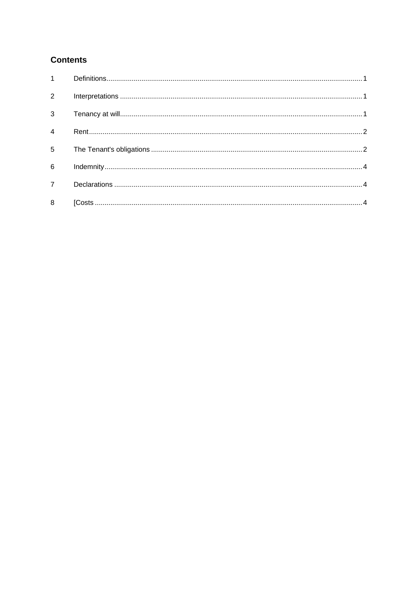# **Contents**

| $\overline{2}$ |  |
|----------------|--|
|                |  |
| $\overline{4}$ |  |
| $\overline{5}$ |  |
| 6              |  |
| $\overline{7}$ |  |
| 8              |  |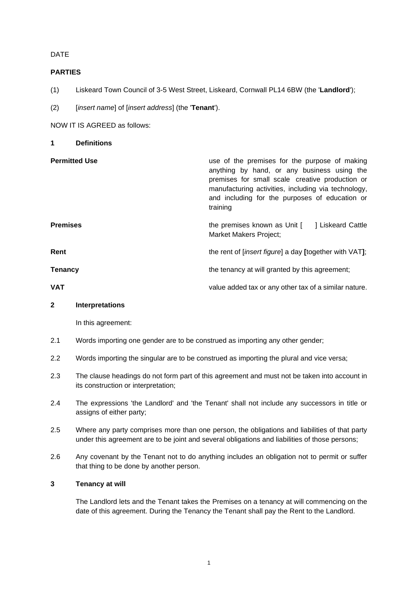# DATE

# **PARTIES**

- (1) Liskeard Town Council of 3-5 West Street, Liskeard, Cornwall PL14 6BW (the '**Landlord**');
- (2) [*insert name*] of [*insert address*] (the '**Tenant**').

NOW IT IS AGREED as follows:

<span id="page-2-0"></span>**1 Definitions Permitted Use Permitted Use 1988** anything by hand, or any business using the premises for small scale creative production or manufacturing activities, including via technology, and including for the purposes of education or training **Premises Example 2 h Example 2 the premises known as Unit [ ] Liskeard Cattle** Market Makers Project; **Rent Rent** the rent of [*insert figure*] a day **[**together with VAT**]**; **Tenancy Tenancy Tenancy he tenancy at will granted by this agreement; VAT** value added tax or any other tax of a similar nature.

#### <span id="page-2-1"></span>**2 Interpretations**

In this agreement:

- 2.1 Words importing one gender are to be construed as importing any other gender;
- 2.2 Words importing the singular are to be construed as importing the plural and vice versa;
- 2.3 The clause headings do not form part of this agreement and must not be taken into account in its construction or interpretation;
- 2.4 The expressions 'the Landlord' and 'the Tenant' shall not include any successors in title or assigns of either party;
- 2.5 Where any party comprises more than one person, the obligations and liabilities of that party under this agreement are to be joint and several obligations and liabilities of those persons;
- 2.6 Any covenant by the Tenant not to do anything includes an obligation not to permit or suffer that thing to be done by another person.

# <span id="page-2-2"></span>**3 Tenancy at will**

The Landlord lets and the Tenant takes the Premises on a tenancy at will commencing on the date of this agreement. During the Tenancy the Tenant shall pay the Rent to the Landlord.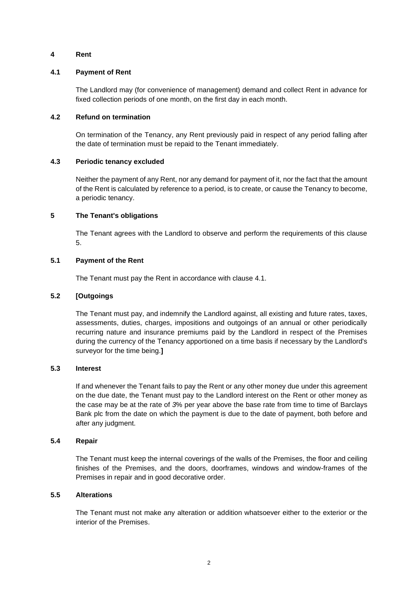# <span id="page-3-0"></span>**4 Rent**

#### **4.1 Payment of Rent**

<span id="page-3-3"></span>The Landlord may (for convenience of management) demand and collect Rent in advance for fixed collection periods of one month, on the first day in each month.

#### **4.2 Refund on termination**

On termination of the Tenancy, any Rent previously paid in respect of any period falling after the date of termination must be repaid to the Tenant immediately.

#### **4.3 Periodic tenancy excluded**

Neither the payment of any Rent, nor any demand for payment of it, nor the fact that the amount of the Rent is calculated by reference to a period, is to create, or cause the Tenancy to become, a periodic tenancy.

# <span id="page-3-1"></span>**5 The Tenant's obligations**

<span id="page-3-2"></span>The Tenant agrees with the Landlord to observe and perform the requirements of this clause [5.](#page-3-2)

#### **5.1 Payment of the Rent**

The Tenant must pay the Rent in accordance with clause [4.1.](#page-3-3)

#### **5.2 [Outgoings**

The Tenant must pay, and indemnify the Landlord against, all existing and future rates, taxes, assessments, duties, charges, impositions and outgoings of an annual or other periodically recurring nature and insurance premiums paid by the Landlord in respect of the Premises during the currency of the Tenancy apportioned on a time basis if necessary by the Landlord's surveyor for the time being.**]**

#### **5.3 Interest**

If and whenever the Tenant fails to pay the Rent or any other money due under this agreement on the due date, the Tenant must pay to the Landlord interest on the Rent or other money as the case may be at the rate of *3*% per year above the base rate from time to time of Barclays Bank plc from the date on which the payment is due to the date of payment, both before and after any judgment.

#### **5.4 Repair**

The Tenant must keep the internal coverings of the walls of the Premises, the floor and ceiling finishes of the Premises, and the doors, doorframes, windows and window-frames of the Premises in repair and in good decorative order.

#### **5.5 Alterations**

The Tenant must not make any alteration or addition whatsoever either to the exterior or the interior of the Premises.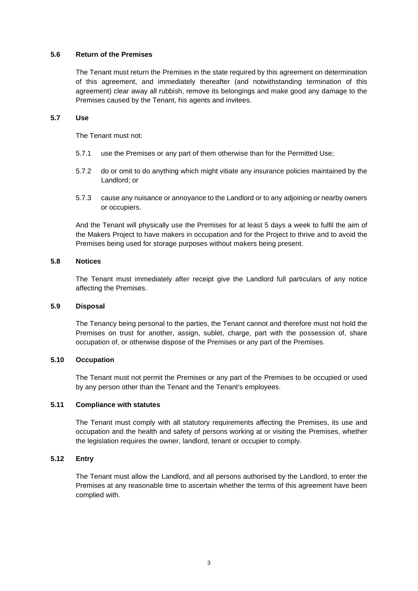#### **5.6 Return of the Premises**

The Tenant must return the Premises in the state required by this agreement on determination of this agreement, and immediately thereafter (and notwithstanding termination of this agreement) clear away all rubbish, remove its belongings and make good any damage to the Premises caused by the Tenant, his agents and invitees.

#### **5.7 Use**

The Tenant must not:

- 5.7.1 use the Premises or any part of them otherwise than for the Permitted Use;
- 5.7.2 do or omit to do anything which might vitiate any insurance policies maintained by the Landlord; or
- 5.7.3 cause any nuisance or annoyance to the Landlord or to any adjoining or nearby owners or occupiers.

And the Tenant will physically use the Premises for at least 5 days a week to fulfil the aim of the Makers Project to have makers in occupation and for the Project to thrive and to avoid the Premises being used for storage purposes without makers being present.

# **5.8 Notices**

The Tenant must immediately after receipt give the Landlord full particulars of any notice affecting the Premises.

#### **5.9 Disposal**

The Tenancy being personal to the parties, the Tenant cannot and therefore must not hold the Premises on trust for another, assign, sublet, charge, part with the possession of, share occupation of, or otherwise dispose of the Premises or any part of the Premises.

# **5.10 Occupation**

The Tenant must not permit the Premises or any part of the Premises to be occupied or used by any person other than the Tenant and the Tenant's employees.

# **5.11 Compliance with statutes**

The Tenant must comply with all statutory requirements affecting the Premises, its use and occupation and the health and safety of persons working at or visiting the Premises, whether the legislation requires the owner, landlord, tenant or occupier to comply.

# **5.12 Entry**

The Tenant must allow the Landlord, and all persons authorised by the Landlord, to enter the Premises at any reasonable time to ascertain whether the terms of this agreement have been complied with.